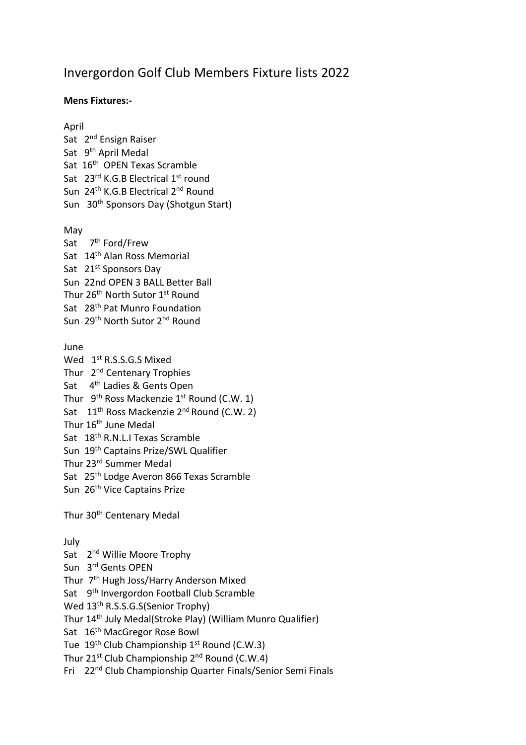## Invergordon Golf Club Members Fixture lists 2022

## **Mens Fixtures:-**

April Sat 2<sup>nd</sup> Ensign Raiser Sat 9<sup>th</sup> April Medal Sat 16<sup>th</sup> OPEN Texas Scramble Sat 23rd K.G.B Electrical 1st round Sun 24<sup>th</sup> K.G.B Electrical 2<sup>nd</sup> Round Sun 30th Sponsors Day (Shotgun Start) May Sat 7<sup>th</sup> Ford/Frew Sat 14th Alan Ross Memorial Sat 21<sup>st</sup> Sponsors Day Sun 22nd OPEN 3 BALL Better Ball Thur 26<sup>th</sup> North Sutor 1<sup>st</sup> Round Sat 28th Pat Munro Foundation Sun 29th North Sutor 2nd Round June Wed 1<sup>st</sup> R.S.S.G.S Mixed Thur 2<sup>nd</sup> Centenary Trophies Sat 4<sup>th</sup> Ladies & Gents Open Thur 9<sup>th</sup> Ross Mackenzie 1<sup>st</sup> Round (C.W. 1) Sat 11<sup>th</sup> Ross Mackenzie 2<sup>nd</sup> Round (C.W. 2) Thur 16<sup>th</sup> June Medal Sat 18th R.N.L.I Texas Scramble Sun 19th Captains Prize/SWL Qualifier Thur 23rd Summer Medal Sat 25th Lodge Averon 866 Texas Scramble Sun 26<sup>th</sup> Vice Captains Prize Thur 30<sup>th</sup> Centenary Medal July Sat 2<sup>nd</sup> Willie Moore Trophy Sun 3<sup>rd</sup> Gents OPEN Thur 7<sup>th</sup> Hugh Joss/Harry Anderson Mixed Sat 9<sup>th</sup> Invergordon Football Club Scramble Wed 13th R.S.S.G.S(Senior Trophy) Thur 14th July Medal(Stroke Play) (William Munro Qualifier)

Sat 16<sup>th</sup> MacGregor Rose Bowl

Tue 19<sup>th</sup> Club Championship 1<sup>st</sup> Round (C.W.3)

Thur 21<sup>st</sup> Club Championship  $2^{nd}$  Round (C.W.4)

Fri 22nd Club Championship Quarter Finals/Senior Semi Finals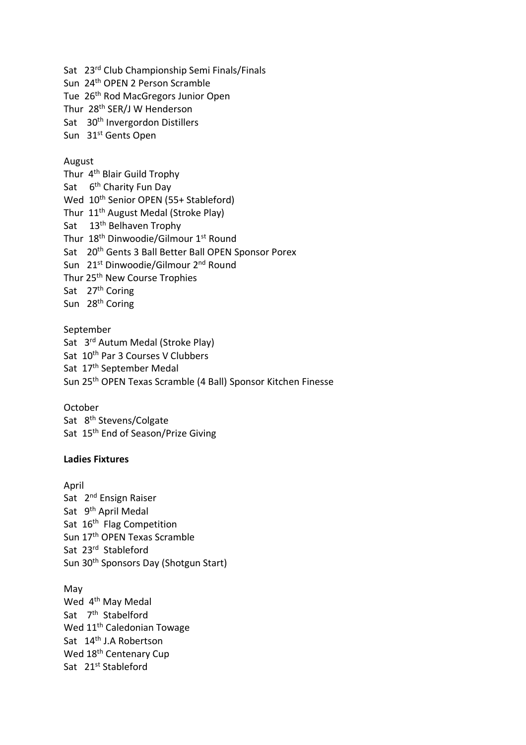Sat 23rd Club Championship Semi Finals/Finals Sun 24th OPEN 2 Person Scramble Tue 26th Rod MacGregors Junior Open Thur 28<sup>th</sup> SER/J W Henderson Sat 30<sup>th</sup> Invergordon Distillers Sun 31st Gents Open

## August

Thur 4<sup>th</sup> Blair Guild Trophy Sat G<sup>th</sup> Charity Fun Day Wed 10<sup>th</sup> Senior OPEN (55+ Stableford) Thur 11<sup>th</sup> August Medal (Stroke Play) Sat 13<sup>th</sup> Belhaven Trophy Thur 18<sup>th</sup> Dinwoodie/Gilmour 1<sup>st</sup> Round Sat 20<sup>th</sup> Gents 3 Ball Better Ball OPEN Sponsor Porex Sun 21st Dinwoodie/Gilmour 2<sup>nd</sup> Round Thur 25<sup>th</sup> New Course Trophies Sat 27<sup>th</sup> Coring Sun 28<sup>th</sup> Coring

September Sat 3<sup>rd</sup> Autum Medal (Stroke Play) Sat 10<sup>th</sup> Par 3 Courses V Clubbers Sat 17<sup>th</sup> September Medal Sun 25th OPEN Texas Scramble (4 Ball) Sponsor Kitchen Finesse

October Sat 8<sup>th</sup> Stevens/Colgate Sat 15<sup>th</sup> End of Season/Prize Giving

## **Ladies Fixtures**

April Sat 2<sup>nd</sup> Ensign Raiser Sat 9<sup>th</sup> April Medal Sat 16<sup>th</sup> Flag Competition Sun 17<sup>th</sup> OPEN Texas Scramble Sat 23<sup>rd</sup> Stableford Sun 30th Sponsors Day (Shotgun Start)

May Wed 4<sup>th</sup> May Medal Sat 7<sup>th</sup> Stabelford Wed 11<sup>th</sup> Caledonian Towage Sat 14th J.A Robertson Wed 18<sup>th</sup> Centenary Cup Sat 21<sup>st</sup> Stableford